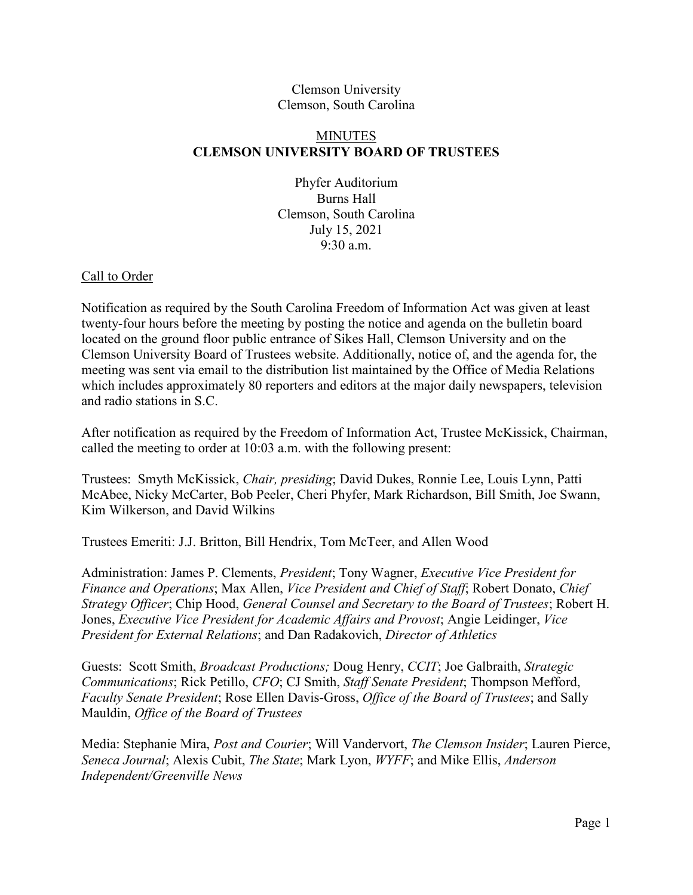### Clemson University Clemson, South Carolina

## MINUTES **CLEMSON UNIVERSITY BOARD OF TRUSTEES**

Phyfer Auditorium Burns Hall Clemson, South Carolina July 15, 2021 9:30 a.m.

## Call to Order

Notification as required by the South Carolina Freedom of Information Act was given at least twenty-four hours before the meeting by posting the notice and agenda on the bulletin board located on the ground floor public entrance of Sikes Hall, Clemson University and on the Clemson University Board of Trustees website. Additionally, notice of, and the agenda for, the meeting was sent via email to the distribution list maintained by the Office of Media Relations which includes approximately 80 reporters and editors at the major daily newspapers, television and radio stations in S.C.

After notification as required by the Freedom of Information Act, Trustee McKissick, Chairman, called the meeting to order at 10:03 a.m. with the following present:

Trustees: Smyth McKissick, *Chair, presiding*; David Dukes, Ronnie Lee, Louis Lynn, Patti McAbee, Nicky McCarter, Bob Peeler, Cheri Phyfer, Mark Richardson, Bill Smith, Joe Swann, Kim Wilkerson, and David Wilkins

Trustees Emeriti: J.J. Britton, Bill Hendrix, Tom McTeer, and Allen Wood

Administration: James P. Clements, *President*; Tony Wagner, *Executive Vice President for Finance and Operations*; Max Allen, *Vice President and Chief of Staff*; Robert Donato, *Chief Strategy Officer*; Chip Hood, *General Counsel and Secretary to the Board of Trustees*; Robert H. Jones, *Executive Vice President for Academic Affairs and Provost*; Angie Leidinger, *Vice President for External Relations*; and Dan Radakovich, *Director of Athletics*

Guests: Scott Smith, *Broadcast Productions;* Doug Henry, *CCIT*; Joe Galbraith, *Strategic Communications*; Rick Petillo, *CFO*; CJ Smith, *Staff Senate President*; Thompson Mefford, *Faculty Senate President*; Rose Ellen Davis-Gross, *Office of the Board of Trustees*; and Sally Mauldin, *Office of the Board of Trustees*

Media: Stephanie Mira, *Post and Courier*; Will Vandervort, *The Clemson Insider*; Lauren Pierce, *Seneca Journal*; Alexis Cubit, *The State*; Mark Lyon, *WYFF*; and Mike Ellis, *Anderson Independent/Greenville News*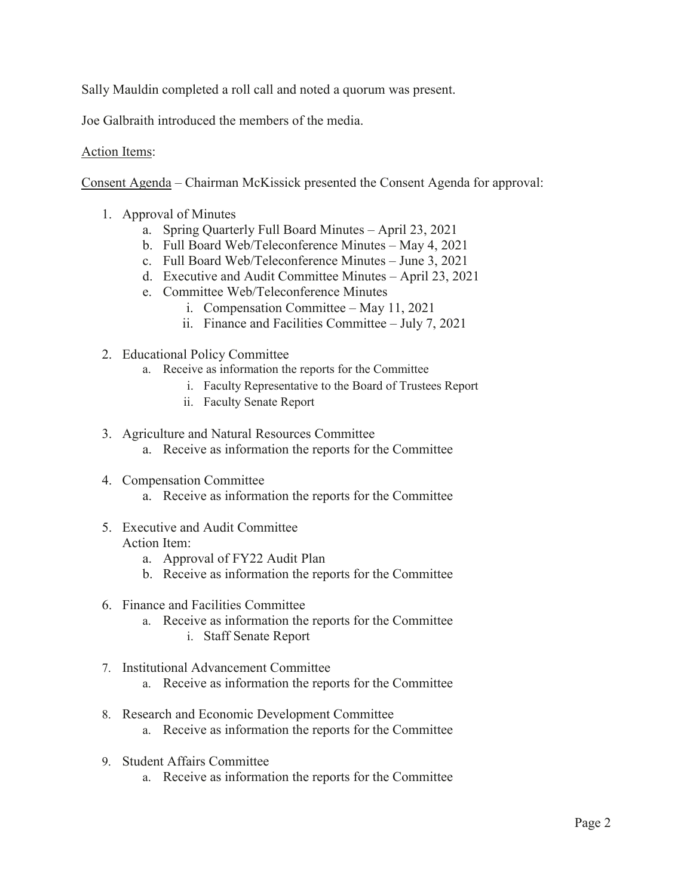Sally Mauldin completed a roll call and noted a quorum was present.

Joe Galbraith introduced the members of the media.

## Action Items:

Consent Agenda – Chairman McKissick presented the Consent Agenda for approval:

- 1. Approval of Minutes
	- a. Spring Quarterly Full Board Minutes April 23, 2021
	- b. Full Board Web/Teleconference Minutes  $-$  May 4, 2021
	- c. Full Board Web/Teleconference Minutes June 3, 2021
	- d. Executive and Audit Committee Minutes April 23, 2021
	- e. Committee Web/Teleconference Minutes
		- i. Compensation Committee  $-May 11, 2021$
		- ii. Finance and Facilities Committee  $-$  July 7, 2021
- 2. Educational Policy Committee
	- a. Receive as information the reports for the Committee
		- i. Faculty Representative to the Board of Trustees Report
		- ii. Faculty Senate Report
- 3. Agriculture and Natural Resources Committee
	- a. Receive as information the reports for the Committee
- 4. Compensation Committee
	- a. Receive as information the reports for the Committee
- 5. Executive and Audit Committee Action Item:
	- a. Approval of FY22 Audit Plan
	- b. Receive as information the reports for the Committee
- 6. Finance and Facilities Committee
	- a. Receive as information the reports for the Committee i. Staff Senate Report
- 7. Institutional Advancement Committee
	- a. Receive as information the reports for the Committee
- 8. Research and Economic Development Committee
	- a. Receive as information the reports for the Committee
- 9. Student Affairs Committee
	- a. Receive as information the reports for the Committee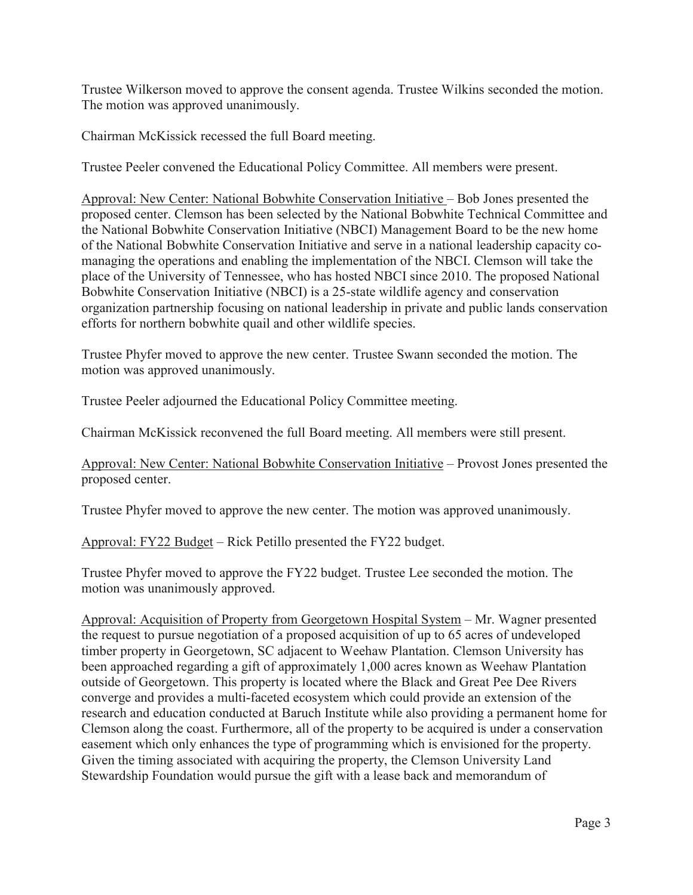Trustee Wilkerson moved to approve the consent agenda. Trustee Wilkins seconded the motion. The motion was approved unanimously.

Chairman McKissick recessed the full Board meeting.

Trustee Peeler convened the Educational Policy Committee. All members were present.

Approval: New Center: National Bobwhite Conservation Initiative – Bob Jones presented the proposed center. Clemson has been selected by the National Bobwhite Technical Committee and the National Bobwhite Conservation Initiative (NBCI) Management Board to be the new home of the National Bobwhite Conservation Initiative and serve in a national leadership capacity comanaging the operations and enabling the implementation of the NBCI. Clemson will take the place of the University of Tennessee, who has hosted NBCI since 2010. The proposed National Bobwhite Conservation Initiative (NBCI) is a 25-state wildlife agency and conservation organization partnership focusing on national leadership in private and public lands conservation efforts for northern bobwhite quail and other wildlife species.

Trustee Phyfer moved to approve the new center. Trustee Swann seconded the motion. The motion was approved unanimously.

Trustee Peeler adjourned the Educational Policy Committee meeting.

Chairman McKissick reconvened the full Board meeting. All members were still present.

Approval: New Center: National Bobwhite Conservation Initiative – Provost Jones presented the proposed center.

Trustee Phyfer moved to approve the new center. The motion was approved unanimously.

Approval: FY22 Budget  $-$  Rick Petillo presented the FY22 budget.

Trustee Phyfer moved to approve the FY22 budget. Trustee Lee seconded the motion. The motion was unanimously approved.

Approval: Acquisition of Property from Georgetown Hospital System – Mr. Wagner presented the request to pursue negotiation of a proposed acquisition of up to 65 acres of undeveloped timber property in Georgetown, SC adjacent to Weehaw Plantation. Clemson University has been approached regarding a gift of approximately 1,000 acres known as Weehaw Plantation outside of Georgetown. This property is located where the Black and Great Pee Dee Rivers converge and provides a multi-faceted ecosystem which could provide an extension of the research and education conducted at Baruch Institute while also providing a permanent home for Clemson along the coast. Furthermore, all of the property to be acquired is under a conservation easement which only enhances the type of programming which is envisioned for the property. Given the timing associated with acquiring the property, the Clemson University Land Stewardship Foundation would pursue the gift with a lease back and memorandum of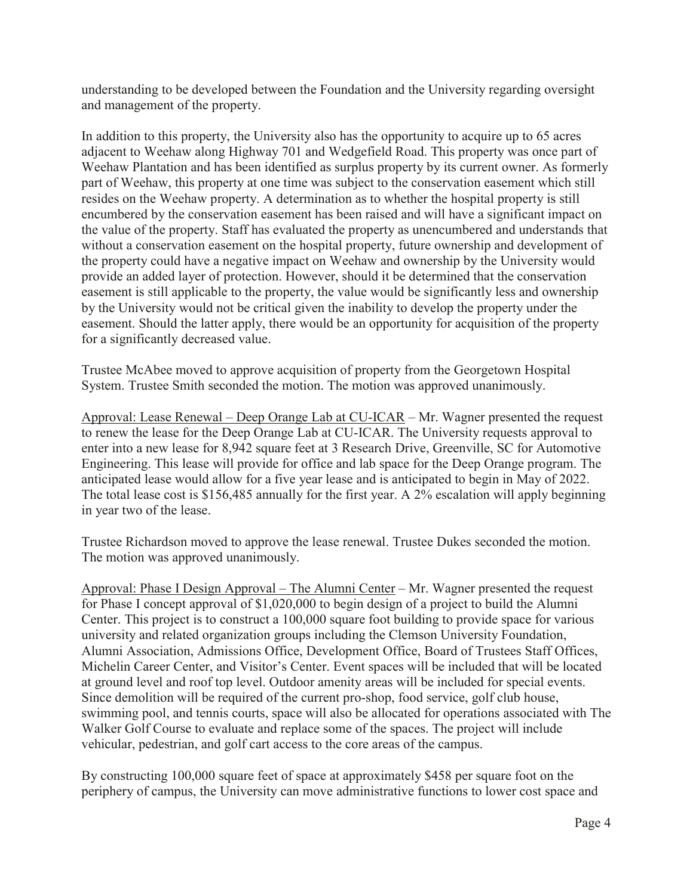understanding to be developed between the Foundation and the University regarding oversight and management of the property.

In addition to this property, the University also has the opportunity to acquire up to 65 acres adjacent to Weehaw along Highway 701 and Wedgefield Road. This property was once part of Weehaw Plantation and has been identified as surplus property by its current owner. As formerly part of Weehaw, this property at one time was subject to the conservation easement which still resides on the Weehaw property. A determination as to whether the hospital property is still encumbered by the conservation easement has been raised and will have a significant impact on the value of the property. Staff has evaluated the property as unencumbered and understands that without a conservation easement on the hospital property, future ownership and development of the property could have a negative impact on Weehaw and ownership by the University would provide an added layer of protection. However, should it be determined that the conservation easement is still applicable to the property, the value would be significantly less and ownership by the University would not be critical given the inability to develop the property under the easement. Should the latter apply, there would be an opportunity for acquisition of the property for a significantly decreased value.

Trustee McAbee moved to approve acquisition of property from the Georgetown Hospital System. Trustee Smith seconded the motion. The motion was approved unanimously.

Approval: Lease Renewal  $-$  Deep Orange Lab at CU-ICAR  $-$  Mr. Wagner presented the request to renew the lease for the Deep Orange Lab at CU-ICAR. The University requests approval to enter into a new lease for 8,942 square feet at 3 Research Drive, Greenville, SC for Automotive Engineering. This lease will provide for office and lab space for the Deep Orange program. The anticipated lease would allow for a five year lease and is anticipated to begin in May of 2022. The total lease cost is \$156,485 annually for the first year. A 2% escalation will apply beginning in year two of the lease.

Trustee Richardson moved to approve the lease renewal. Trustee Dukes seconded the motion. The motion was approved unanimously.

Approval: Phase I Design Approval  $-$  The Alumni Center  $-Mr$ . Wagner presented the request for Phase I concept approval of \$1,020,000 to begin design of a project to build the Alumni Center. This project is to construct a 100,000 square foot building to provide space for various university and related organization groups including the Clemson University Foundation, Alumni Association, Admissions Office, Development Office, Board of Trustees Staff Offices, Michelin Career Center, and Visitor's Center. Event spaces will be included that will be located at ground level and roof top level. Outdoor amenity areas will be included for special events. Since demolition will be required of the current pro-shop, food service, golf club house, swimming pool, and tennis courts, space will also be allocated for operations associated with The Walker Golf Course to evaluate and replace some of the spaces. The project will include vehicular, pedestrian, and golf cart access to the core areas of the campus.

By constructing 100,000 square feet of space at approximately \$458 per square foot on the periphery of campus, the University can move administrative functions to lower cost space and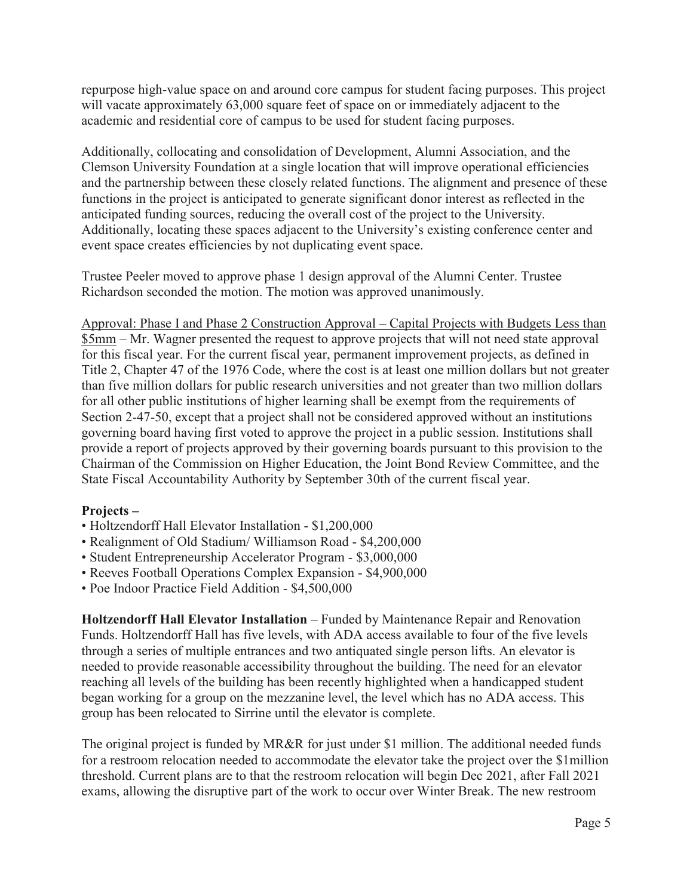repurpose high-value space on and around core campus for student facing purposes. This project will vacate approximately 63,000 square feet of space on or immediately adjacent to the academic and residential core of campus to be used for student facing purposes.

Additionally, collocating and consolidation of Development, Alumni Association, and the Clemson University Foundation at a single location that will improve operational efficiencies and the partnership between these closely related functions. The alignment and presence of these functions in the project is anticipated to generate significant donor interest as reflected in the anticipated funding sources, reducing the overall cost of the project to the University. Additionally, locating these spaces adjacent to the University's existing conference center and event space creates efficiencies by not duplicating event space.

Trustee Peeler moved to approve phase 1 design approval of the Alumni Center. Trustee Richardson seconded the motion. The motion was approved unanimously.

Approval: Phase I and Phase 2 Construction Approval – Capital Projects with Budgets Less than \$5mm – Mr. Wagner presented the request to approve projects that will not need state approval for this fiscal year. For the current fiscal year, permanent improvement projects, as defined in Title 2, Chapter 47 of the 1976 Code, where the cost is at least one million dollars but not greater than five million dollars for public research universities and not greater than two million dollars for all other public institutions of higher learning shall be exempt from the requirements of Section 2-47-50, except that a project shall not be considered approved without an institutions governing board having first voted to approve the project in a public session. Institutions shall provide a report of projects approved by their governing boards pursuant to this provision to the Chairman of the Commission on Higher Education, the Joint Bond Review Committee, and the State Fiscal Accountability Authority by September 30th of the current fiscal year.

# Projects-

- Holtzendorff Hall Elevator Installation \$1,200,000
- Realignment of Old Stadium/ Williamson Road \$4,200,000
- Student Entrepreneurship Accelerator Program \$3,000,000
- Reeves Football Operations Complex Expansion \$4,900,000
- Poe Indoor Practice Field Addition \$4,500,000

**Holtzendorff Hall Elevator Installation** – Funded by Maintenance Repair and Renovation Funds. Holtzendorff Hall has five levels, with ADA access available to four of the five levels through a series of multiple entrances and two antiquated single person lifts. An elevator is needed to provide reasonable accessibility throughout the building. The need for an elevator reaching all levels of the building has been recently highlighted when a handicapped student began working for a group on the mezzanine level, the level which has no ADA access. This group has been relocated to Sirrine until the elevator is complete.

The original project is funded by MR&R for just under \$1 million. The additional needed funds for a restroom relocation needed to accommodate the elevator take the project over the \$1million threshold. Current plans are to that the restroom relocation will begin Dec 2021, after Fall 2021 exams, allowing the disruptive part of the work to occur over Winter Break. The new restroom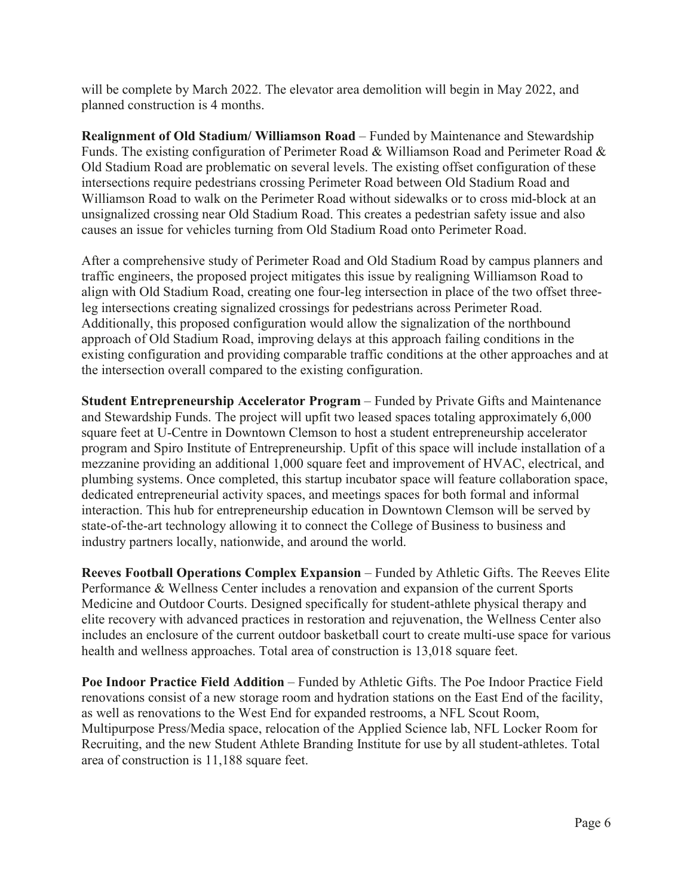will be complete by March 2022. The elevator area demolition will begin in May 2022, and planned construction is 4 months.

**Realignment of Old Stadium/ Williamson Road - Funded by Maintenance and Stewardship** Funds. The existing configuration of Perimeter Road & Williamson Road and Perimeter Road & Old Stadium Road are problematic on several levels. The existing offset configuration of these intersections require pedestrians crossing Perimeter Road between Old Stadium Road and Williamson Road to walk on the Perimeter Road without sidewalks or to cross mid-block at an unsignalized crossing near Old Stadium Road. This creates a pedestrian safety issue and also causes an issue for vehicles turning from Old Stadium Road onto Perimeter Road.

After a comprehensive study of Perimeter Road and Old Stadium Road by campus planners and traffic engineers, the proposed project mitigates this issue by realigning Williamson Road to align with Old Stadium Road, creating one four-leg intersection in place of the two offset threeleg intersections creating signalized crossings for pedestrians across Perimeter Road. Additionally, this proposed configuration would allow the signalization of the northbound approach of Old Stadium Road, improving delays at this approach failing conditions in the existing configuration and providing comparable traffic conditions at the other approaches and at the intersection overall compared to the existing configuration.

**Student Entrepreneurship Accelerator Program** – Funded by Private Gifts and Maintenance and Stewardship Funds. The project will upfit two leased spaces totaling approximately 6,000 square feet at U-Centre in Downtown Clemson to host a student entrepreneurship accelerator program and Spiro Institute of Entrepreneurship. Upfit of this space will include installation of a mezzanine providing an additional 1,000 square feet and improvement of HVAC, electrical, and plumbing systems. Once completed, this startup incubator space will feature collaboration space, dedicated entrepreneurial activity spaces, and meetings spaces for both formal and informal interaction. This hub for entrepreneurship education in Downtown Clemson will be served by state-of-the-art technology allowing it to connect the College of Business to business and industry partners locally, nationwide, and around the world.

**Reeves Football Operations Complex Expansion** – Funded by Athletic Gifts. The Reeves Elite Performance & Wellness Center includes a renovation and expansion of the current Sports Medicine and Outdoor Courts. Designed specifically for student-athlete physical therapy and elite recovery with advanced practices in restoration and rejuvenation, the Wellness Center also includes an enclosure of the current outdoor basketball court to create multi-use space for various health and wellness approaches. Total area of construction is 13,018 square feet.

Poe Indoor Practice Field Addition - Funded by Athletic Gifts. The Poe Indoor Practice Field renovations consist of a new storage room and hydration stations on the East End of the facility, as well as renovations to the West End for expanded restrooms, a NFL Scout Room, Multipurpose Press/Media space, relocation of the Applied Science lab, NFL Locker Room for Recruiting, and the new Student Athlete Branding Institute for use by all student-athletes. Total area of construction is 11,188 square feet.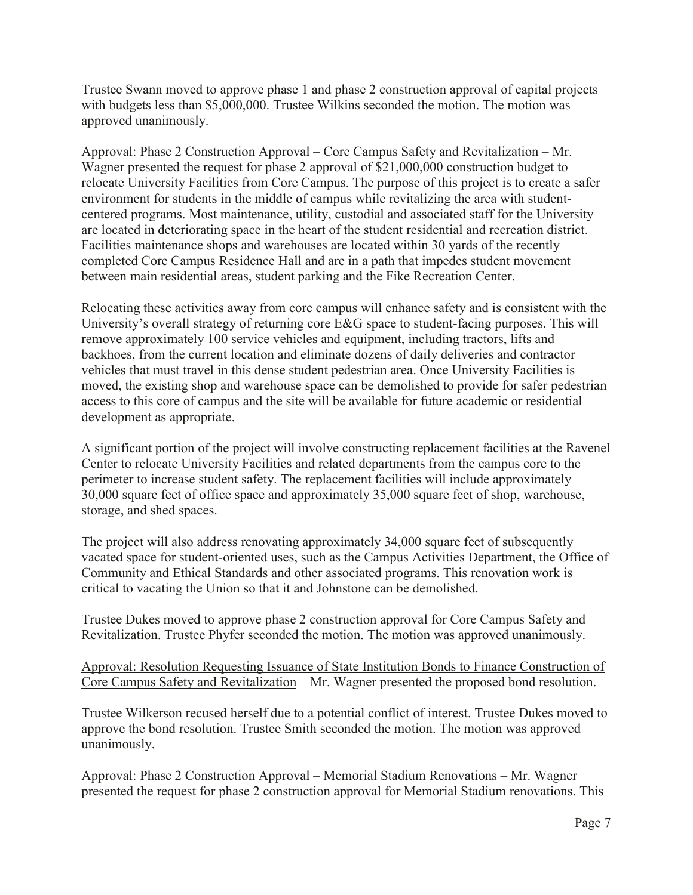Trustee Swann moved to approve phase 1 and phase 2 construction approval of capital projects with budgets less than \$5,000,000. Trustee Wilkins seconded the motion. The motion was approved unanimously.

Approval: Phase 2 Construction Approval  $-$  Core Campus Safety and Revitalization  $-$  Mr. Wagner presented the request for phase 2 approval of \$21,000,000 construction budget to relocate University Facilities from Core Campus. The purpose of this project is to create a safer environment for students in the middle of campus while revitalizing the area with studentcentered programs. Most maintenance, utility, custodial and associated staff for the University are located in deteriorating space in the heart of the student residential and recreation district. Facilities maintenance shops and warehouses are located within 30 yards of the recently completed Core Campus Residence Hall and are in a path that impedes student movement between main residential areas, student parking and the Fike Recreation Center.

Relocating these activities away from core campus will enhance safety and is consistent with the University's overall strategy of returning core E&G space to student-facing purposes. This will remove approximately 100 service vehicles and equipment, including tractors, lifts and backhoes, from the current location and eliminate dozens of daily deliveries and contractor vehicles that must travel in this dense student pedestrian area. Once University Facilities is moved, the existing shop and warehouse space can be demolished to provide for safer pedestrian access to this core of campus and the site will be available for future academic or residential development as appropriate.

A significant portion of the project will involve constructing replacement facilities at the Ravenel Center to relocate University Facilities and related departments from the campus core to the perimeter to increase student safety. The replacement facilities will include approximately 30,000 square feet of office space and approximately 35,000 square feet of shop, warehouse, storage, and shed spaces.

The project will also address renovating approximately 34,000 square feet of subsequently vacated space for student-oriented uses, such as the Campus Activities Department, the Office of Community and Ethical Standards and other associated programs. This renovation work is critical to vacating the Union so that it and Johnstone can be demolished.

Trustee Dukes moved to approve phase 2 construction approval for Core Campus Safety and Revitalization. Trustee Phyfer seconded the motion. The motion was approved unanimously.

Approval: Resolution Requesting Issuance of State Institution Bonds to Finance Construction of Core Campus Safety and Revitalization – Mr. Wagner presented the proposed bond resolution.

Trustee Wilkerson recused herself due to a potential conflict of interest. Trustee Dukes moved to approve the bond resolution. Trustee Smith seconded the motion. The motion was approved unanimously.

Approval: Phase 2 Construction Approval – Memorial Stadium Renovations – Mr. Wagner presented the request for phase 2 construction approval for Memorial Stadium renovations. This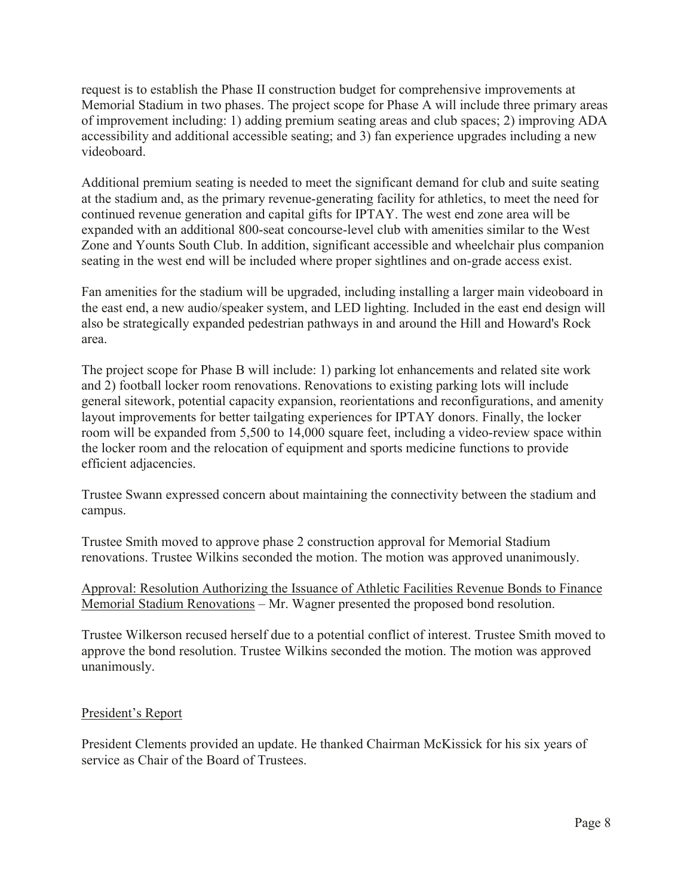request is to establish the Phase II construction budget for comprehensive improvements at Memorial Stadium in two phases. The project scope for Phase A will include three primary areas of improvement including: 1) adding premium seating areas and club spaces; 2) improving ADA accessibility and additional accessible seating; and 3) fan experience upgrades including a new videoboard.

Additional premium seating is needed to meet the significant demand for club and suite seating at the stadium and, as the primary revenue-generating facility for athletics, to meet the need for continued revenue generation and capital gifts for IPTAY. The west end zone area will be expanded with an additional 800-seat concourse-level club with amenities similar to the West Zone and Younts South Club. In addition, significant accessible and wheelchair plus companion seating in the west end will be included where proper sightlines and on-grade access exist.

Fan amenities for the stadium will be upgraded, including installing a larger main videoboard in the east end, a new audio/speaker system, and LED lighting. Included in the east end design will also be strategically expanded pedestrian pathways in and around the Hill and Howard's Rock area.

The project scope for Phase B will include: 1) parking lot enhancements and related site work and 2) football locker room renovations. Renovations to existing parking lots will include general sitework, potential capacity expansion, reorientations and reconfigurations, and amenity layout improvements for better tailgating experiences for IPTAY donors. Finally, the locker room will be expanded from 5,500 to 14,000 square feet, including a video-review space within the locker room and the relocation of equipment and sports medicine functions to provide efficient adjacencies.

Trustee Swann expressed concern about maintaining the connectivity between the stadium and campus.

Trustee Smith moved to approve phase 2 construction approval for Memorial Stadium renovations. Trustee Wilkins seconded the motion. The motion was approved unanimously.

Approval: Resolution Authorizing the Issuance of Athletic Facilities Revenue Bonds to Finance Memorial Stadium Renovations  $-Mr$ . Wagner presented the proposed bond resolution.

Trustee Wilkerson recused herself due to a potential conflict of interest. Trustee Smith moved to approve the bond resolution. Trustee Wilkins seconded the motion. The motion was approved unanimously.

## President's Report

President Clements provided an update. He thanked Chairman McKissick for his six years of service as Chair of the Board of Trustees.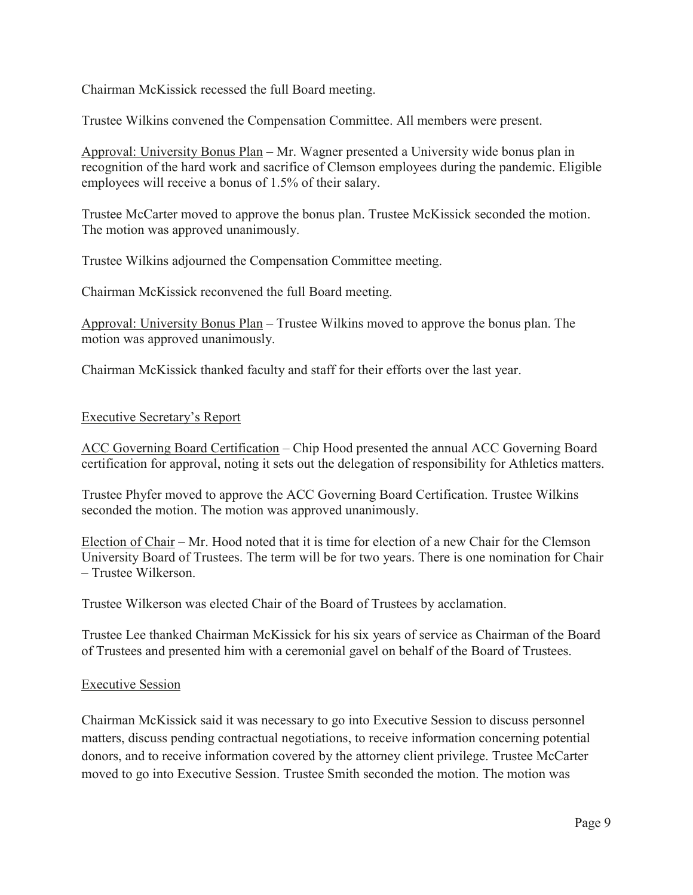Chairman McKissick recessed the full Board meeting.

Trustee Wilkins convened the Compensation Committee. All members were present.

Approval: University Bonus Plan – Mr. Wagner presented a University wide bonus plan in recognition of the hard work and sacrifice of Clemson employees during the pandemic. Eligible employees will receive a bonus of 1.5% of their salary.

Trustee McCarter moved to approve the bonus plan. Trustee McKissick seconded the motion. The motion was approved unanimously.

Trustee Wilkins adjourned the Compensation Committee meeting.

Chairman McKissick reconvened the full Board meeting.

Approval: University Bonus Plan – Trustee Wilkins moved to approve the bonus plan. The motion was approved unanimously.

Chairman McKissick thanked faculty and staff for their efforts over the last year.

## Executive Secretary's Report

ACC Governing Board Certification – Chip Hood presented the annual ACC Governing Board certification for approval, noting it sets out the delegation of responsibility for Athletics matters.

Trustee Phyfer moved to approve the ACC Governing Board Certification. Trustee Wilkins seconded the motion. The motion was approved unanimously.

Election of Chair  $-Mr$ . Hood noted that it is time for election of a new Chair for the Clemson University Board of Trustees. The term will be for two years. There is one nomination for Chair - Trustee Wilkerson.

Trustee Wilkerson was elected Chair of the Board of Trustees by acclamation.

Trustee Lee thanked Chairman McKissick for his six years of service as Chairman of the Board of Trustees and presented him with a ceremonial gavel on behalf of the Board of Trustees.

## Executive Session

Chairman McKissick said it was necessary to go into Executive Session to discuss personnel matters, discuss pending contractual negotiations, to receive information concerning potential donors, and to receive information covered by the attorney client privilege. Trustee McCarter moved to go into Executive Session. Trustee Smith seconded the motion. The motion was